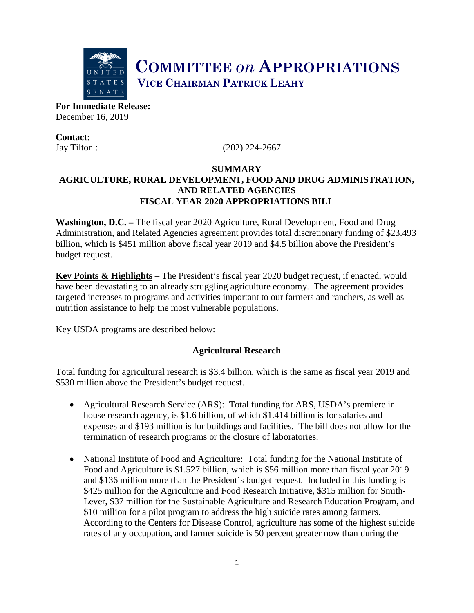

**COMMITTEE** *on* **APPROPRIATIONS VICE CHAIRMAN PATRICK LEAHY** 

**For Immediate Release:**  December 16, 2019

**Contact:**

Jay Tilton : (202) 224-2667

### **SUMMARY AGRICULTURE, RURAL DEVELOPMENT, FOOD AND DRUG ADMINISTRATION, AND RELATED AGENCIES FISCAL YEAR 2020 APPROPRIATIONS BILL**

**Washington, D.C. –** The fiscal year 2020 Agriculture, Rural Development, Food and Drug Administration, and Related Agencies agreement provides total discretionary funding of \$23.493 billion, which is \$451 million above fiscal year 2019 and \$4.5 billion above the President's budget request.

**Key Points & Highlights** – The President's fiscal year 2020 budget request, if enacted, would have been devastating to an already struggling agriculture economy. The agreement provides targeted increases to programs and activities important to our farmers and ranchers, as well as nutrition assistance to help the most vulnerable populations.

Key USDA programs are described below:

## **Agricultural Research**

Total funding for agricultural research is \$3.4 billion, which is the same as fiscal year 2019 and \$530 million above the President's budget request.

- Agricultural Research Service (ARS): Total funding for ARS, USDA's premiere in house research agency, is \$1.6 billion, of which \$1.414 billion is for salaries and expenses and \$193 million is for buildings and facilities. The bill does not allow for the termination of research programs or the closure of laboratories.
- National Institute of Food and Agriculture: Total funding for the National Institute of Food and Agriculture is \$1.527 billion, which is \$56 million more than fiscal year 2019 and \$136 million more than the President's budget request. Included in this funding is \$425 million for the Agriculture and Food Research Initiative, \$315 million for Smith-Lever, \$37 million for the Sustainable Agriculture and Research Education Program, and \$10 million for a pilot program to address the high suicide rates among farmers. According to the Centers for Disease Control, agriculture has some of the highest suicide rates of any occupation, and farmer suicide is 50 percent greater now than during the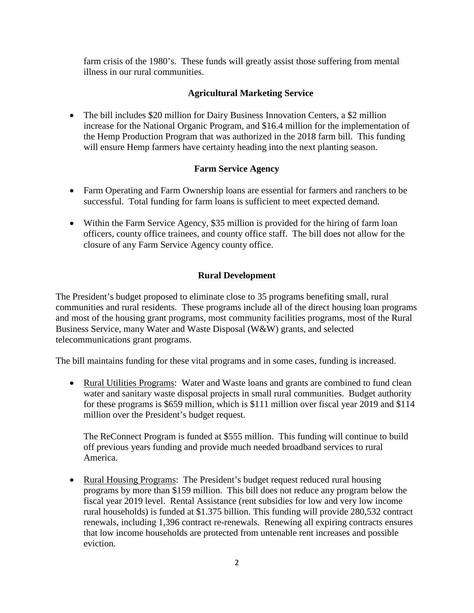farm crisis of the 1980's. These funds will greatly assist those suffering from mental illness in our rural communities.

## **Agricultural Marketing Service**

• The bill includes \$20 million for Dairy Business Innovation Centers, a \$2 million increase for the National Organic Program, and \$16.4 million for the implementation of the Hemp Production Program that was authorized in the 2018 farm bill. This funding will ensure Hemp farmers have certainty heading into the next planting season.

### **Farm Service Agency**

- Farm Operating and Farm Ownership loans are essential for farmers and ranchers to be successful. Total funding for farm loans is sufficient to meet expected demand.
- Within the Farm Service Agency, \$35 million is provided for the hiring of farm loan officers, county office trainees, and county office staff. The bill does not allow for the closure of any Farm Service Agency county office.

### **Rural Development**

The President's budget proposed to eliminate close to 35 programs benefiting small, rural communities and rural residents. These programs include all of the direct housing loan programs and most of the housing grant programs, most community facilities programs, most of the Rural Business Service, many Water and Waste Disposal (W&W) grants, and selected telecommunications grant programs.

The bill maintains funding for these vital programs and in some cases, funding is increased.

• Rural Utilities Programs: Water and Waste loans and grants are combined to fund clean water and sanitary waste disposal projects in small rural communities. Budget authority for these programs is \$659 million, which is \$111 million over fiscal year 2019 and \$114 million over the President's budget request.

The ReConnect Program is funded at \$555 million. This funding will continue to build off previous years funding and provide much needed broadband services to rural America.

• Rural Housing Programs: The President's budget request reduced rural housing programs by more than \$159 million. This bill does not reduce any program below the fiscal year 2019 level. Rental Assistance (rent subsidies for low and very low income rural households) is funded at \$1.375 billion. This funding will provide 280,532 contract renewals, including 1,396 contract re-renewals. Renewing all expiring contracts ensures that low income households are protected from untenable rent increases and possible eviction.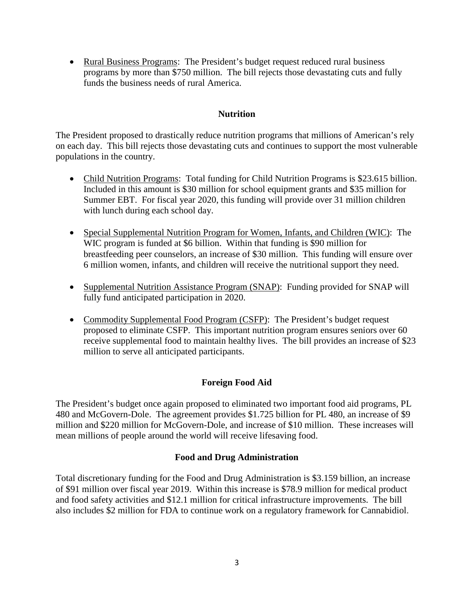• Rural Business Programs: The President's budget request reduced rural business programs by more than \$750 million. The bill rejects those devastating cuts and fully funds the business needs of rural America.

#### **Nutrition**

The President proposed to drastically reduce nutrition programs that millions of American's rely on each day. This bill rejects those devastating cuts and continues to support the most vulnerable populations in the country.

- Child Nutrition Programs: Total funding for Child Nutrition Programs is \$23.615 billion. Included in this amount is \$30 million for school equipment grants and \$35 million for Summer EBT. For fiscal year 2020, this funding will provide over 31 million children with lunch during each school day.
- Special Supplemental Nutrition Program for Women, Infants, and Children (WIC): The WIC program is funded at \$6 billion. Within that funding is \$90 million for breastfeeding peer counselors, an increase of \$30 million. This funding will ensure over 6 million women, infants, and children will receive the nutritional support they need.
- Supplemental Nutrition Assistance Program (SNAP): Funding provided for SNAP will fully fund anticipated participation in 2020.
- Commodity Supplemental Food Program (CSFP): The President's budget request proposed to eliminate CSFP. This important nutrition program ensures seniors over 60 receive supplemental food to maintain healthy lives. The bill provides an increase of \$23 million to serve all anticipated participants.

## **Foreign Food Aid**

The President's budget once again proposed to eliminated two important food aid programs, PL 480 and McGovern-Dole. The agreement provides \$1.725 billion for PL 480, an increase of \$9 million and \$220 million for McGovern-Dole, and increase of \$10 million. These increases will mean millions of people around the world will receive lifesaving food.

## **Food and Drug Administration**

Total discretionary funding for the Food and Drug Administration is \$3.159 billion, an increase of \$91 million over fiscal year 2019. Within this increase is \$78.9 million for medical product and food safety activities and \$12.1 million for critical infrastructure improvements. The bill also includes \$2 million for FDA to continue work on a regulatory framework for Cannabidiol.